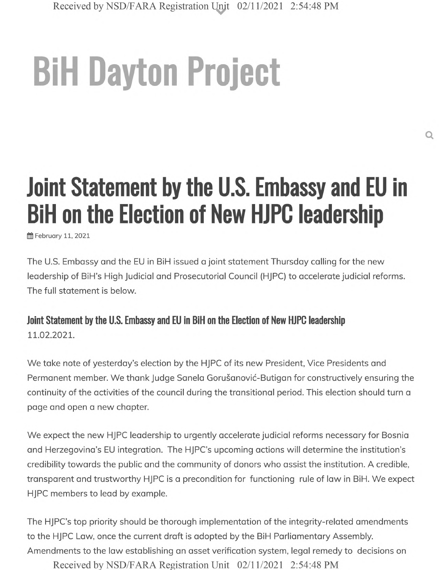## **BiH Dayton Project**

## **Joint Statement by the U.S. Embassy and EU in BiH on the Election of New HJPC leadership**

ffl February 11, 2021

The U.S. Embassy and the EU in BiH issued a joint statement Thursday calling for the new leadership of BiH's High Judicial and Prosecutorial Council (HJPC) to accelerate judicial reforms. The full statement is below.

**Joint Statement by the U.S. Embassy and EU in BiH on the Election of New HJPC leadership 11.02.2021.**

We take note of yesterday's election by the HJPC of its new President, Vice Presidents and Permanent member. We thank Judge Sanela Gorušanović-Butigan for constructively ensuring the continuity of the activities of the council during the transitional period. This election should turn a page and open a new chapter.

We expect the new HJPC leadership to urgently accelerate judicial reforms necessary for Bosnia and Herzegovina's EU integration. The HJPC's upcoming actions will determine the institution's credibility towards the public and the community of donors who assist the institution. A credible, transparent and trustworthy HJPC is a precondition for functioning rule of law in BiH. We expect HJPC members to lead by example.

The HJPC's top priority should be thorough implementation of the integrity-related amendments to the HJPC Law, once the current draft is adopted by the BiH Parliamentary Assembly. Amendments to the law establishing an asset verification system, legal remedy to decisions on

Received by NSD/FARA Registration Unit 02/11/2021 2:54:48 PM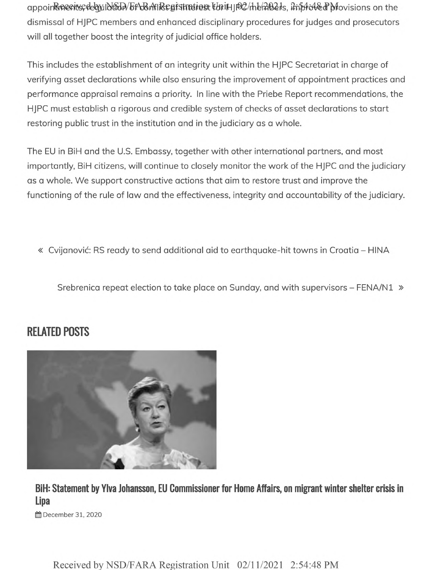appoinRipeeritis; debyild than bf4d&nflRegistration totill p02/the/2021s, imptoled provisions on the dismissal of HJPC members and enhanced disciplinary procedures for judges and prosecutors will all together boost the integrity of judicial office holders.

This includes the establishment of an integrity unit within the HJPC Secretariat in charge of verifying asset declarations while also ensuring the improvement of appointment practices and performance appraisal remains a priority. In line with the Priebe Report recommendations, the HJPC must establish a rigorous and credible system of checks of asset declarations to start restoring public trust in the institution and in the judiciary as a whole.

The EU in BiH and the U.S. Embassy, together with other international partners, and most importantly, BiH citizens, will continue to closely monitor the work of the HJPC and the judiciary as a whole. We support constructive actions that aim to restore trust and improve the functioning of the rule of law and the effectiveness, integrity and accountability of the judiciary.

« Cvijanović: RS ready to send additional aid to earthquake-hit towns in Croatia - HINA

Srebrenica repeat election to take place on Sunday, and with supervisors - FENA/N1 »

## **RELATED POSTS**



**BiH: Statement by Ylva Johansson, El) Commissioner for Home Affairs, on migrant winter shelter crisis in Lipa**

December 31, 2020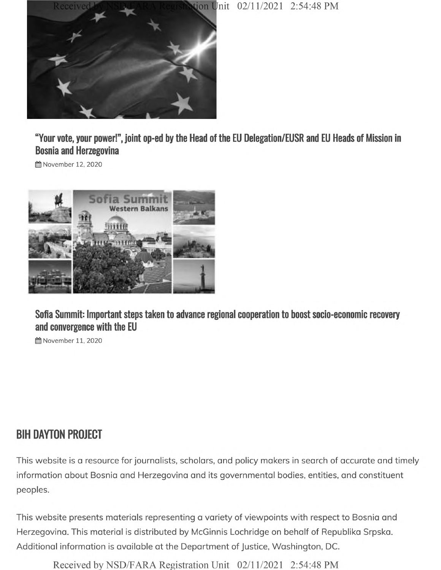



"Your vote, your power!", joint op-ed by the Head of the EU Delegation/EUSR and EU Heads of Mission in **Bosnia and Herzegovina**

**@**November 12, 2020



**Sofia Summit: Important steps taken to advance regional cooperation to boost socio-economic recovery and convergence with the EU**

§§ November 11, 2020

## **BIH DAYTON PROJECT**

This website is a resource for journalists, scholars, and policy makers in search of accurate and timely information about Bosnia and Herzegovina and its governmental bodies, entities, and constituent peoples.

This website presents materials representing a variety of viewpoints with respect to Bosnia and Herzegovina. This material is distributed by McGinnis Lochridge on behalf of Republika Srpska. Additional information is available at the Department of Justice, Washington, DC.

Received by NSD/FARA Registration Unit 02/11/2021 2:54:48 PM